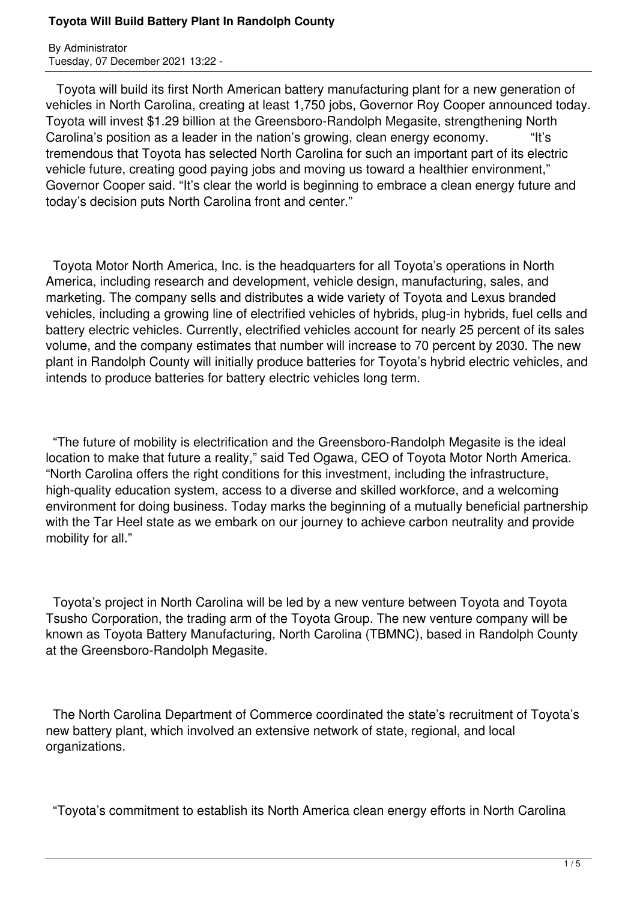By Administrator Tuesday, 07 December 2021 13:22 -

 Toyota will build its first North American battery manufacturing plant for a new generation of vehicles in North Carolina, creating at least 1,750 jobs, Governor Roy Cooper announced today. Toyota will invest \$1.29 billion at the Greensboro-Randolph Megasite, strengthening North Carolina's position as a leader in the nation's growing, clean energy economy. "It's tremendous that Toyota has selected North Carolina for such an important part of its electric vehicle future, creating good paying jobs and moving us toward a healthier environment," Governor Cooper said. "It's clear the world is beginning to embrace a clean energy future and today's decision puts North Carolina front and center."

 Toyota Motor North America, Inc. is the headquarters for all Toyota's operations in North America, including research and development, vehicle design, manufacturing, sales, and marketing. The company sells and distributes a wide variety of Toyota and Lexus branded vehicles, including a growing line of electrified vehicles of hybrids, plug-in hybrids, fuel cells and battery electric vehicles. Currently, electrified vehicles account for nearly 25 percent of its sales volume, and the company estimates that number will increase to 70 percent by 2030. The new plant in Randolph County will initially produce batteries for Toyota's hybrid electric vehicles, and intends to produce batteries for battery electric vehicles long term.

 "The future of mobility is electrification and the Greensboro-Randolph Megasite is the ideal location to make that future a reality," said Ted Ogawa, CEO of Toyota Motor North America. "North Carolina offers the right conditions for this investment, including the infrastructure, high-quality education system, access to a diverse and skilled workforce, and a welcoming environment for doing business. Today marks the beginning of a mutually beneficial partnership with the Tar Heel state as we embark on our journey to achieve carbon neutrality and provide mobility for all."

 Toyota's project in North Carolina will be led by a new venture between Toyota and Toyota Tsusho Corporation, the trading arm of the Toyota Group. The new venture company will be known as Toyota Battery Manufacturing, North Carolina (TBMNC), based in Randolph County at the Greensboro-Randolph Megasite.

 The North Carolina Department of Commerce coordinated the state's recruitment of Toyota's new battery plant, which involved an extensive network of state, regional, and local organizations.

"Toyota's commitment to establish its North America clean energy efforts in North Carolina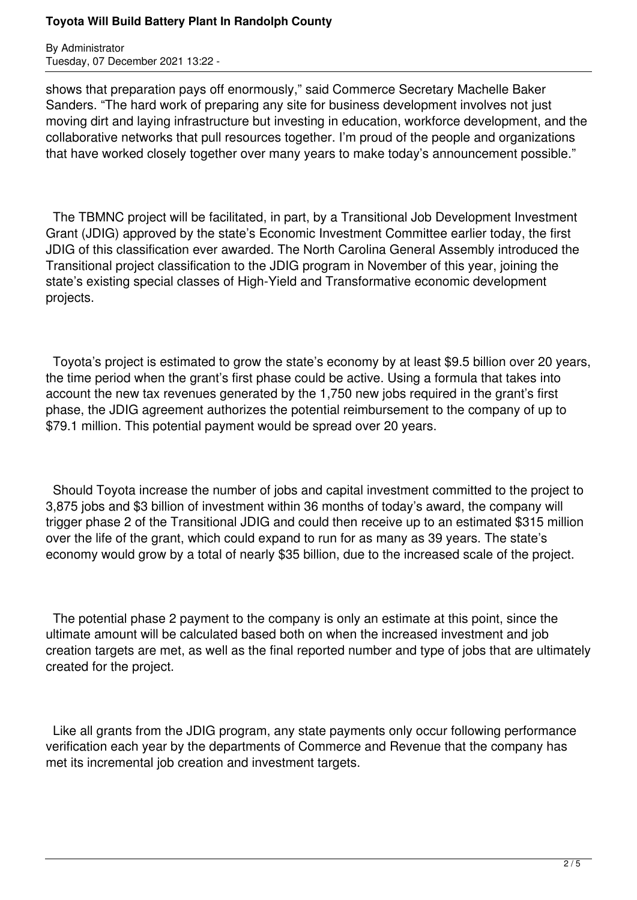By Administrator Tuesday, 07 December 2021 13:22 -

shows that preparation pays off enormously," said Commerce Secretary Machelle Baker Sanders. "The hard work of preparing any site for business development involves not just moving dirt and laying infrastructure but investing in education, workforce development, and the collaborative networks that pull resources together. I'm proud of the people and organizations that have worked closely together over many years to make today's announcement possible."

 The TBMNC project will be facilitated, in part, by a Transitional Job Development Investment Grant (JDIG) approved by the state's Economic Investment Committee earlier today, the first JDIG of this classification ever awarded. The North Carolina General Assembly introduced the Transitional project classification to the JDIG program in November of this year, joining the state's existing special classes of High-Yield and Transformative economic development projects.

 Toyota's project is estimated to grow the state's economy by at least \$9.5 billion over 20 years, the time period when the grant's first phase could be active. Using a formula that takes into account the new tax revenues generated by the 1,750 new jobs required in the grant's first phase, the JDIG agreement authorizes the potential reimbursement to the company of up to \$79.1 million. This potential payment would be spread over 20 years.

 Should Toyota increase the number of jobs and capital investment committed to the project to 3,875 jobs and \$3 billion of investment within 36 months of today's award, the company will trigger phase 2 of the Transitional JDIG and could then receive up to an estimated \$315 million over the life of the grant, which could expand to run for as many as 39 years. The state's economy would grow by a total of nearly \$35 billion, due to the increased scale of the project.

 The potential phase 2 payment to the company is only an estimate at this point, since the ultimate amount will be calculated based both on when the increased investment and job creation targets are met, as well as the final reported number and type of jobs that are ultimately created for the project.

 Like all grants from the JDIG program, any state payments only occur following performance verification each year by the departments of Commerce and Revenue that the company has met its incremental job creation and investment targets.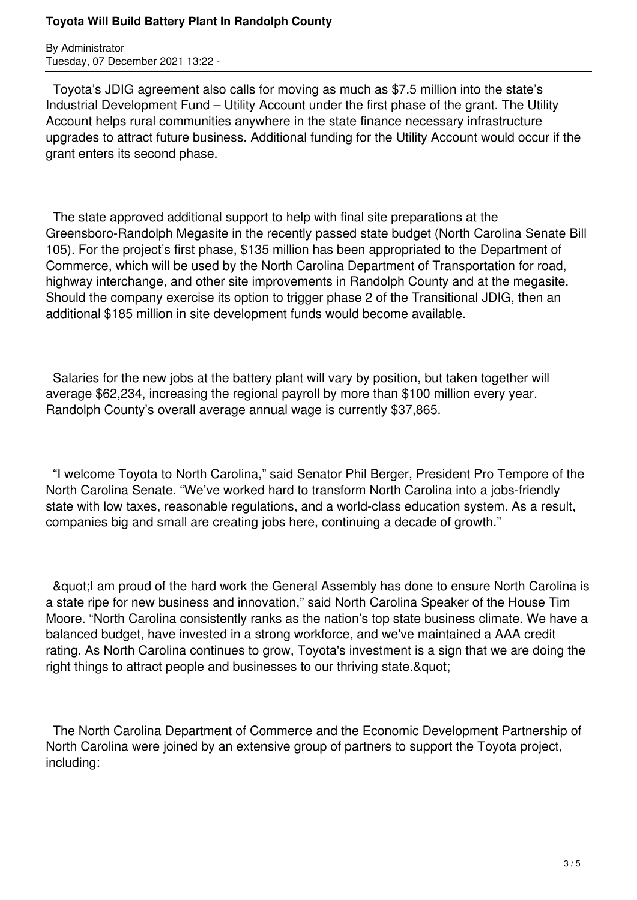By Administrator Tuesday, 07 December 2021 13:22 -

 Toyota's JDIG agreement also calls for moving as much as \$7.5 million into the state's Industrial Development Fund – Utility Account under the first phase of the grant. The Utility Account helps rural communities anywhere in the state finance necessary infrastructure upgrades to attract future business. Additional funding for the Utility Account would occur if the grant enters its second phase.

 The state approved additional support to help with final site preparations at the Greensboro-Randolph Megasite in the recently passed state budget (North Carolina Senate Bill 105). For the project's first phase, \$135 million has been appropriated to the Department of Commerce, which will be used by the North Carolina Department of Transportation for road, highway interchange, and other site improvements in Randolph County and at the megasite. Should the company exercise its option to trigger phase 2 of the Transitional JDIG, then an additional \$185 million in site development funds would become available.

 Salaries for the new jobs at the battery plant will vary by position, but taken together will average \$62,234, increasing the regional payroll by more than \$100 million every year. Randolph County's overall average annual wage is currently \$37,865.

 "I welcome Toyota to North Carolina," said Senator Phil Berger, President Pro Tempore of the North Carolina Senate. "We've worked hard to transform North Carolina into a jobs-friendly state with low taxes, reasonable regulations, and a world-class education system. As a result, companies big and small are creating jobs here, continuing a decade of growth."

& quot; I am proud of the hard work the General Assembly has done to ensure North Carolina is a state ripe for new business and innovation," said North Carolina Speaker of the House Tim Moore. "North Carolina consistently ranks as the nation's top state business climate. We have a balanced budget, have invested in a strong workforce, and we've maintained a AAA credit rating. As North Carolina continues to grow, Toyota's investment is a sign that we are doing the right things to attract people and businesses to our thriving state. & quot;

 The North Carolina Department of Commerce and the Economic Development Partnership of North Carolina were joined by an extensive group of partners to support the Toyota project, including: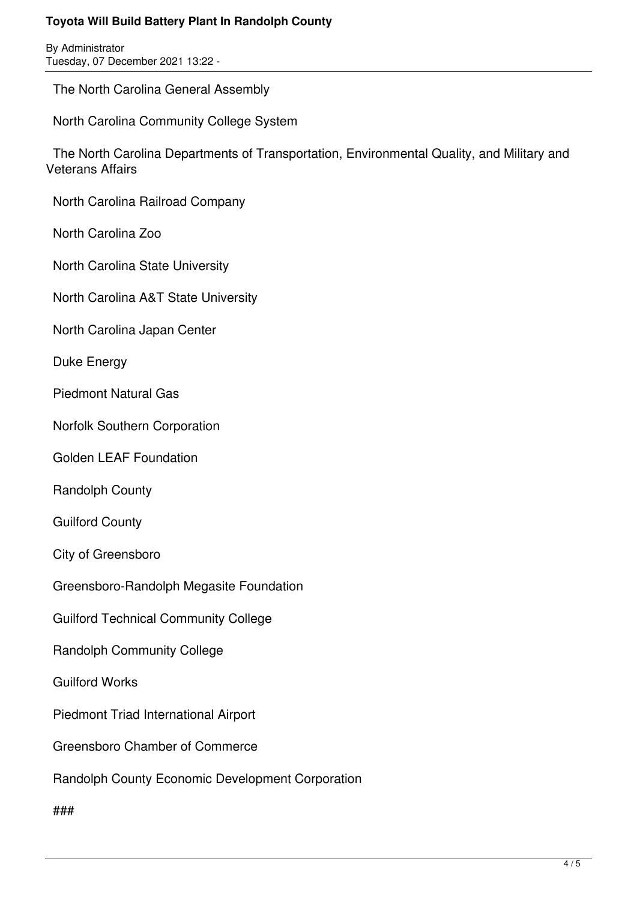By Administrator Tuesday, 07 December 2021 13:22 -

The North Carolina General Assembly

North Carolina Community College System

 The North Carolina Departments of Transportation, Environmental Quality, and Military and Veterans Affairs

North Carolina Railroad Company

North Carolina Zoo

North Carolina State University

North Carolina A&T State University

North Carolina Japan Center

Duke Energy

Piedmont Natural Gas

Norfolk Southern Corporation

Golden LEAF Foundation

Randolph County

Guilford County

City of Greensboro

Greensboro-Randolph Megasite Foundation

Guilford Technical Community College

Randolph Community College

Guilford Works

Piedmont Triad International Airport

Greensboro Chamber of Commerce

Randolph County Economic Development Corporation

###